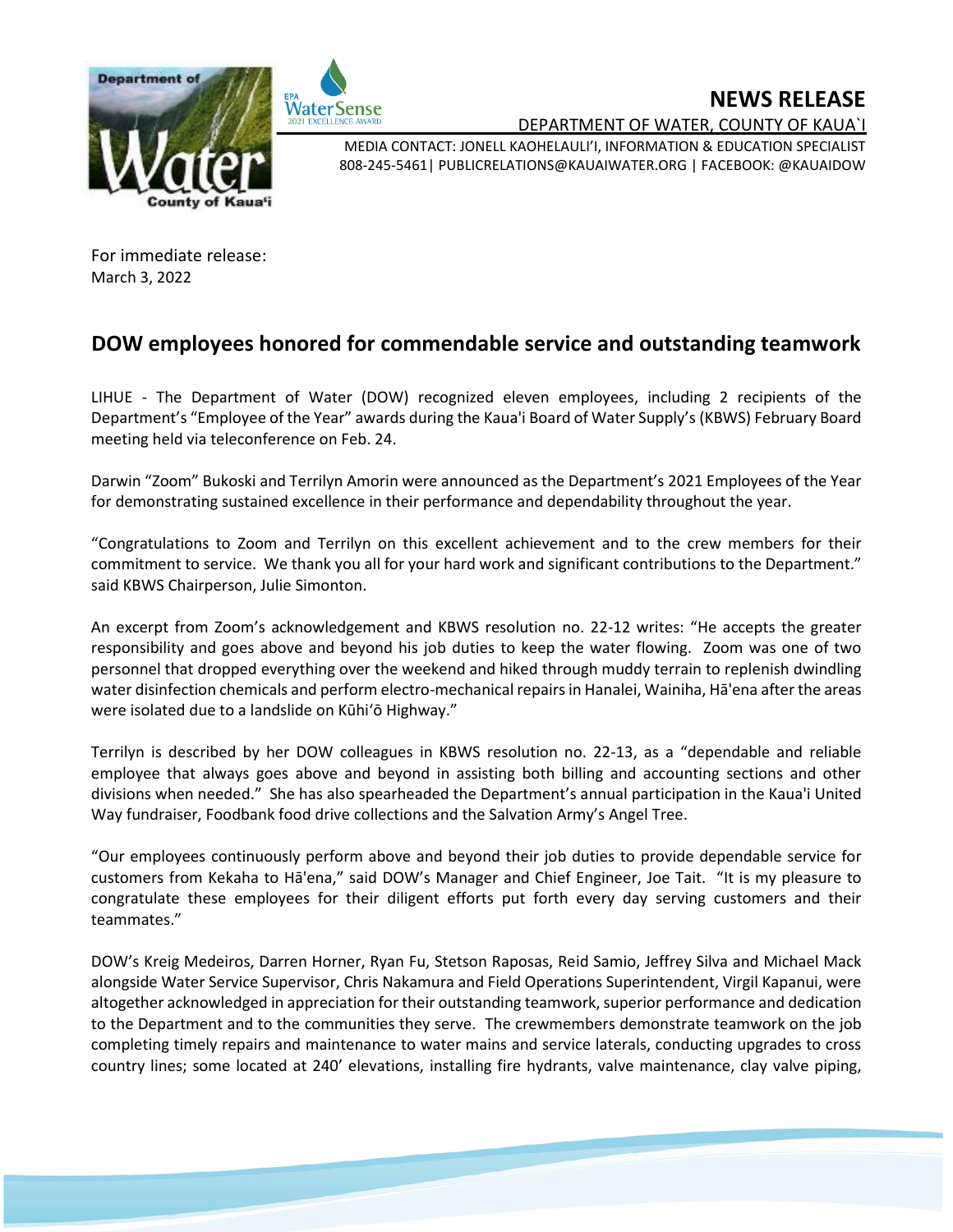



## **NEWS RELEASE**

DEPARTMENT OF WATER, COUNTY OF KAUA`I

MEDIA CONTACT: JONELL KAOHELAULI'I, INFORMATION & EDUCATION SPECIALIST 808-245-5461| PUBLICRELATIONS@KAUAIWATER.ORG | FACEBOOK: @KAUAIDOW

For immediate release: March 3, 2022

## **DOW employees honored for commendable service and outstanding teamwork**

LIHUE - The Department of Water (DOW) recognized eleven employees, including 2 recipients of the Department's "Employee of the Year" awards during the Kaua'i Board of Water Supply's (KBWS) February Board meeting held via teleconference on Feb. 24.

Darwin "Zoom" Bukoski and Terrilyn Amorin were announced as the Department's 2021 Employees of the Year for demonstrating sustained excellence in their performance and dependability throughout the year.

"Congratulations to Zoom and Terrilyn on this excellent achievement and to the crew members for their commitment to service. We thank you all for your hard work and significant contributions to the Department." said KBWS Chairperson, Julie Simonton.

An excerpt from Zoom's acknowledgement and KBWS resolution no. 22-12 writes: "He accepts the greater responsibility and goes above and beyond his job duties to keep the water flowing. Zoom was one of two personnel that dropped everything over the weekend and hiked through muddy terrain to replenish dwindling water disinfection chemicals and perform electro-mechanical repairs in Hanalei, Wainiha, Hā'ena after the areas were isolated due to a landslide on Kūhi'ō Highway."

Terrilyn is described by her DOW colleagues in KBWS resolution no. 22-13, as a "dependable and reliable employee that always goes above and beyond in assisting both billing and accounting sections and other divisions when needed." She has also spearheaded the Department's annual participation in the Kaua'i United Way fundraiser, Foodbank food drive collections and the Salvation Army's Angel Tree.

"Our employees continuously perform above and beyond their job duties to provide dependable service for customers from Kekaha to Hā'ena," said DOW's Manager and Chief Engineer, Joe Tait. "It is my pleasure to congratulate these employees for their diligent efforts put forth every day serving customers and their teammates."

DOW's Kreig Medeiros, Darren Horner, Ryan Fu, Stetson Raposas, Reid Samio, Jeffrey Silva and Michael Mack alongside Water Service Supervisor, Chris Nakamura and Field Operations Superintendent, Virgil Kapanui, were altogether acknowledged in appreciation for their outstanding teamwork, superior performance and dedication to the Department and to the communities they serve. The crewmembers demonstrate teamwork on the job completing timely repairs and maintenance to water mains and service laterals, conducting upgrades to cross country lines; some located at 240' elevations, installing fire hydrants, valve maintenance, clay valve piping,